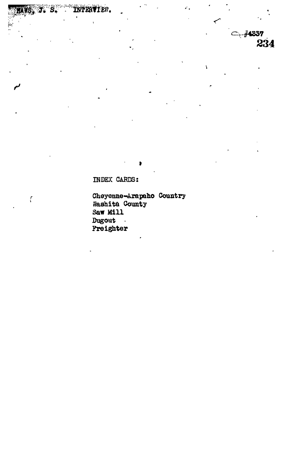$-74337$ 234

C

 $\overline{\mathbf{r}}$ 

INDEX CARDS:

INTERVIEN.

 $\ddot{\phantom{a}}$ 

 $\overline{\mathcal{L}}$ 

Cheyenne-Arapaho Country<br>Washita County<br>Saw Mill Dugout  $\mathbf{A}^{\prime}$ Freighter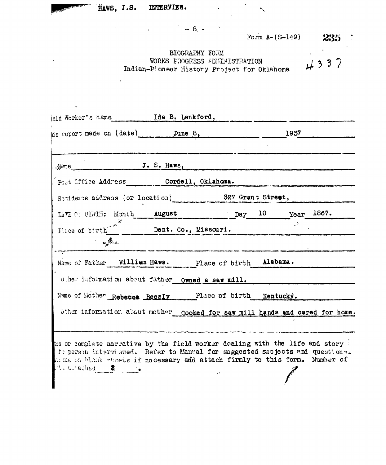HAWS, J.S. INTERVIEW.

 $\tilde{\mathbf{z}}$ 

 $\therefore$  subsched 2

 $4.8 + 1.1$ 

Form  $A - (S-149)$  235

BIOGRAPHY FORM  $4337$ WORKS PROGRESS ADMINISTRATION Indian-Pioneer History Project for Oklahoma

eld Worker's name **Ida B. Lankford**, his report made on (date) June 8, 1937  $J. S. Haws,$ . Neme Post Office Address Cordell, Oklahoma. Residence address (or location) 327 Grant Street, LATE OF BIRTH: Month august 10 Year 1867. Fluce of birth Dent. Co., Missouri.  $\mathcal{L}^{\mathcal{L}}$ **Contraction** Name of Father William Haws. Place of birth Alabama. where information about father Owned a saw mill. Name of Mother Rebecca Beesly Place of birth Kentucky. Uther information about mother cooked for saw mill hands and cared for home. to a complete narrative by the field worker dealing with the life and story it person interviewed. Refer to Manual for suggested subjects and questions. th we an blank chosts if no cessary and attach firmly to this form. Number of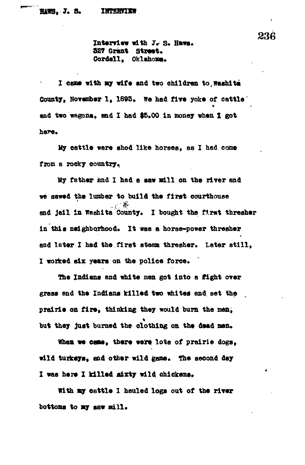Interview with J. S. Haws.<br>**327 Grant** Street. **927 Grant Street. Cordell, Oklahoma\***

I came with my wife and two children to Washita County, November 1, 1893. We had five yoke of cattle' and two wagons. and I had \$5.00 in money when I got **and two wagons, end I had \$5\*00 in money when X got**

**My cattle were shod like horses, as I had come**

My father and I had a saw mill on the river and we sawed the lumber to build the first courthouse **we say the lumber of the same same in the first chresher** and jail in Washita County. I bought the first thresher in this neighborhood. It was a horse-power thresher **in this neighborhood\* It was a horse-power thresher \*** I worked six years on the police force.

The Indians and white men got into a fight over grass and the Indians killed two whites and set the prairie on fire, thinking they would burn the men, but they just burned the clothing on the dead men.

When we came, there were lots of prairie dogs, wild turkeys, and other wild game. The second day I was here I killed aixty wild chickens.

With my cattle I hauled logs out of the river bottoms to my saw mill.